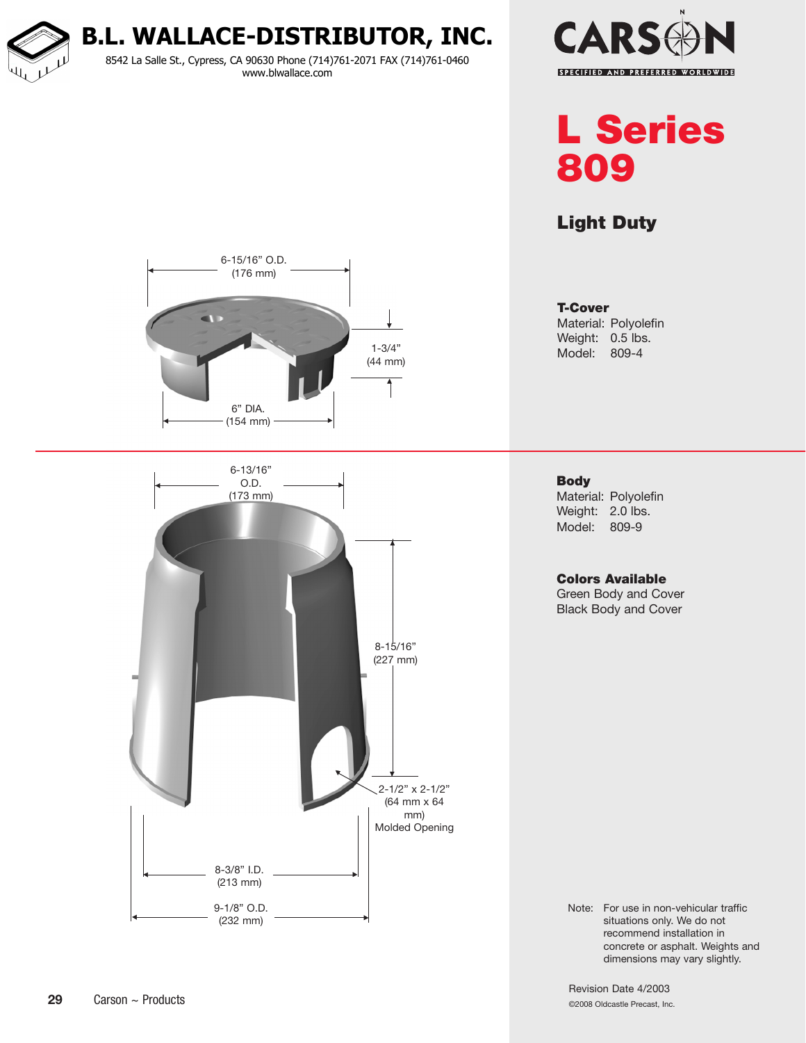**B.L. WALLACE-DISTRIBUTOR, INC.** 8542 La Salle St., Cypress, CA 90630 Phone (714)761-2071 FAX (714)761-0460 www.blwallace.com



L Series 809

Light Duty



**Body** Material: Polyolefin Weight: 2.0 lbs. Model: 809-9

## Colors Available

Green Body and Cover Black Body and Cover

Note: For use in non-vehicular traffic situations only. We do not recommend installation in concrete or asphalt. Weights and dimensions may vary slightly.

Revision Date 4/2003 ©2008 Oldcastle Precast, Inc.